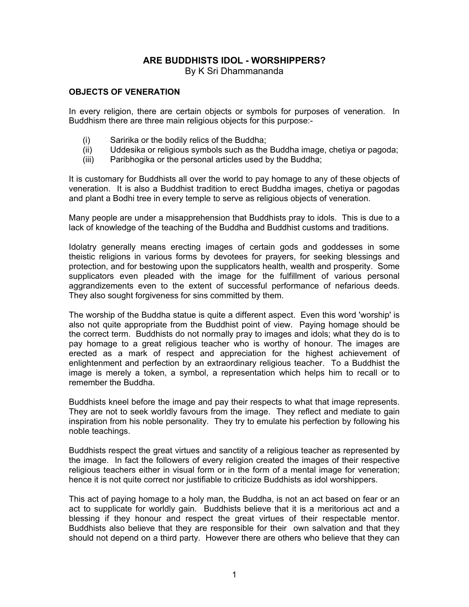# **ARE BUDDHISTS IDOL - WORSHIPPERS?**  By K Sri Dhammananda

#### **OBJECTS OF VENERATION**

In every religion, there are certain objects or symbols for purposes of veneration. In Buddhism there are three main religious objects for this purpose:-

- (i) Saririka or the bodily relics of the Buddha;
- (ii) Uddesika or religious symbols such as the Buddha image, chetiya or pagoda;
- (iii) Paribhogika or the personal articles used by the Buddha;

It is customary for Buddhists all over the world to pay homage to any of these objects of veneration. It is also a Buddhist tradition to erect Buddha images, chetiya or pagodas and plant a Bodhi tree in every temple to serve as religious objects of veneration.

Many people are under a misapprehension that Buddhists pray to idols. This is due to a lack of knowledge of the teaching of the Buddha and Buddhist customs and traditions.

Idolatry generally means erecting images of certain gods and goddesses in some theistic religions in various forms by devotees for prayers, for seeking blessings and protection, and for bestowing upon the supplicators health, wealth and prosperity. Some supplicators even pleaded with the image for the fulfillment of various personal aggrandizements even to the extent of successful performance of nefarious deeds. They also sought forgiveness for sins committed by them.

The worship of the Buddha statue is quite a different aspect. Even this word 'worship' is also not quite appropriate from the Buddhist point of view. Paying homage should be the correct term. Buddhists do not normally pray to images and idols; what they do is to pay homage to a great religious teacher who is worthy of honour. The images are erected as a mark of respect and appreciation for the highest achievement of enlightenment and perfection by an extraordinary religious teacher. To a Buddhist the image is merely a token, a symbol, a representation which helps him to recall or to remember the Buddha.

Buddhists kneel before the image and pay their respects to what that image represents. They are not to seek worldly favours from the image. They reflect and mediate to gain inspiration from his noble personality. They try to emulate his perfection by following his noble teachings.

Buddhists respect the great virtues and sanctity of a religious teacher as represented by the image. In fact the followers of every religion created the images of their respective religious teachers either in visual form or in the form of a mental image for veneration; hence it is not quite correct nor justifiable to criticize Buddhists as idol worshippers.

This act of paying homage to a holy man, the Buddha, is not an act based on fear or an act to supplicate for worldly gain. Buddhists believe that it is a meritorious act and a blessing if they honour and respect the great virtues of their respectable mentor. Buddhists also believe that they are responsible for their own salvation and that they should not depend on a third party. However there are others who believe that they can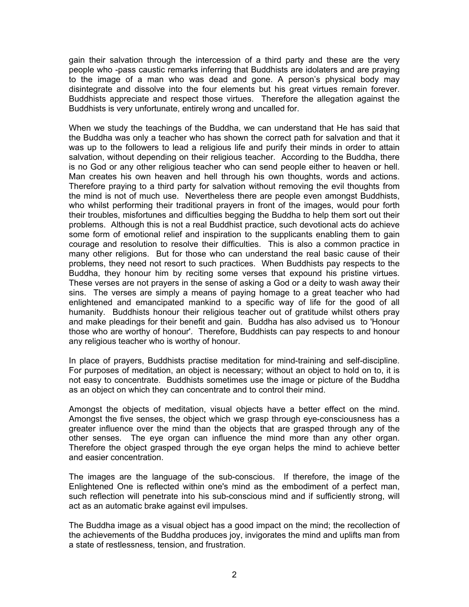gain their salvation through the intercession of a third party and these are the very people who -pass caustic remarks inferring that Buddhists are idolaters and are praying to the image of a man who was dead and gone. A person's physical body may disintegrate and dissolve into the four elements but his great virtues remain forever. Buddhists appreciate and respect those virtues. Therefore the allegation against the Buddhists is very unfortunate, entirely wrong and uncalled for.

When we study the teachings of the Buddha, we can understand that He has said that the Buddha was only a teacher who has shown the correct path for salvation and that it was up to the followers to lead a religious life and purify their minds in order to attain salvation, without depending on their religious teacher. According to the Buddha, there is no God or any other religious teacher who can send people either to heaven or hell. Man creates his own heaven and hell through his own thoughts, words and actions. Therefore praying to a third party for salvation without removing the evil thoughts from the mind is not of much use. Nevertheless there are people even amongst Buddhists, who whilst performing their traditional prayers in front of the images, would pour forth their troubles, misfortunes and difficulties begging the Buddha to help them sort out their problems. Although this is not a real Buddhist practice, such devotional acts do achieve some form of emotional relief and inspiration to the supplicants enabling them to gain courage and resolution to resolve their difficulties. This is also a common practice in many other religions. But for those who can understand the real basic cause of their problems, they need not resort to such practices. When Buddhists pay respects to the Buddha, they honour him by reciting some verses that expound his pristine virtues. These verses are not prayers in the sense of asking a God or a deity to wash away their sins. The verses are simply a means of paying homage to a great teacher who had enlightened and emancipated mankind to a specific way of life for the good of all humanity. Buddhists honour their religious teacher out of gratitude whilst others pray and make pleadings for their benefit and gain. Buddha has also advised us to 'Honour those who are worthy of honour'. Therefore, Buddhists can pay respects to and honour any religious teacher who is worthy of honour.

In place of prayers, Buddhists practise meditation for mind-training and self-discipline. For purposes of meditation, an object is necessary; without an object to hold on to, it is not easy to concentrate. Buddhists sometimes use the image or picture of the Buddha as an object on which they can concentrate and to control their mind.

Amongst the objects of meditation, visual objects have a better effect on the mind. Amongst the five senses, the object which we grasp through eye-consciousness has a greater influence over the mind than the objects that are grasped through any of the other senses. The eye organ can influence the mind more than any other organ. Therefore the object grasped through the eye organ helps the mind to achieve better and easier concentration.

The images are the language of the sub-conscious. If therefore, the image of the Enlightened One is reflected within one's mind as the embodiment of a perfect man, such reflection will penetrate into his sub-conscious mind and if sufficiently strong, will act as an automatic brake against evil impulses.

The Buddha image as a visual object has a good impact on the mind; the recollection of the achievements of the Buddha produces joy, invigorates the mind and uplifts man from a state of restlessness, tension, and frustration.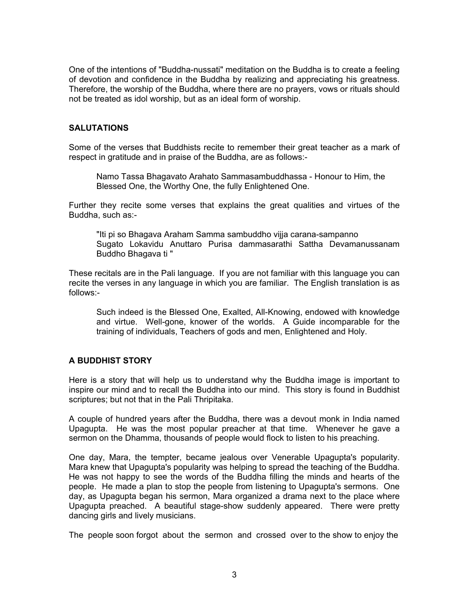One of the intentions of "Buddha-nussati" meditation on the Buddha is to create a feeling of devotion and confidence in the Buddha by realizing and appreciating his greatness. Therefore, the worship of the Buddha, where there are no prayers, vows or rituals should not be treated as idol worship, but as an ideal form of worship.

# **SALUTATIONS**

Some of the verses that Buddhists recite to remember their great teacher as a mark of respect in gratitude and in praise of the Buddha, are as follows:-

Namo Tassa Bhagavato Arahato Sammasambuddhassa - Honour to Him, the Blessed One, the Worthy One, the fully Enlightened One.

Further they recite some verses that explains the great qualities and virtues of the Buddha, such as:-

"Iti pi so Bhagava Araham Samma sambuddho vijja carana-sampanno Sugato Lokavidu Anuttaro Purisa dammasarathi Sattha Devamanussanam Buddho Bhagava ti "

These recitals are in the Pali language. If you are not familiar with this language you can recite the verses in any language in which you are familiar. The English translation is as follows:-

Such indeed is the Blessed One, Exalted, All-Knowing, endowed with knowledge and virtue. Well-gone, knower of the worlds. A Guide incomparable for the training of individuals, Teachers of gods and men, Enlightened and Holy.

# **A BUDDHIST STORY**

Here is a story that will help us to understand why the Buddha image is important to inspire our mind and to recall the Buddha into our mind. This story is found in Buddhist scriptures; but not that in the Pali Thripitaka.

A couple of hundred years after the Buddha, there was a devout monk in India named Upagupta. He was the most popular preacher at that time. Whenever he gave a sermon on the Dhamma, thousands of people would flock to listen to his preaching.

One day, Mara, the tempter, became jealous over Venerable Upagupta's popularity. Mara knew that Upagupta's popularity was helping to spread the teaching of the Buddha. He was not happy to see the words of the Buddha filling the minds and hearts of the people. He made a plan to stop the people from listening to Upagupta's sermons. One day, as Upagupta began his sermon, Mara organized a drama next to the place where Upagupta preached. A beautiful stage-show suddenly appeared. There were pretty dancing girls and lively musicians.

The people soon forgot about the sermon and crossed over to the show to enjoy the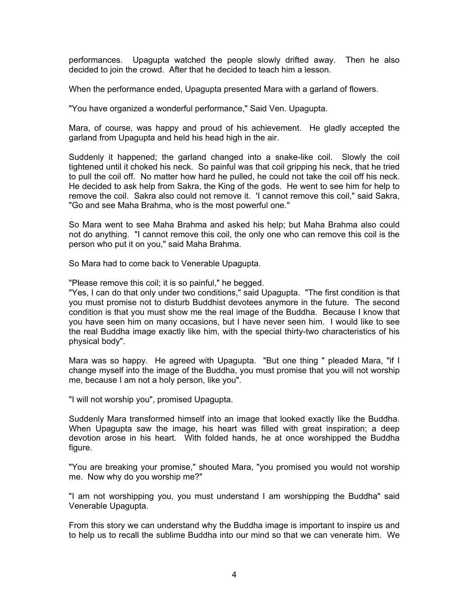performances. Upagupta watched the people slowly drifted away. Then he also decided to join the crowd. After that he decided to teach him a lesson.

When the performance ended, Upagupta presented Mara with a garland of flowers.

"You have organized a wonderful performance," Said Ven. Upagupta.

Mara, of course, was happy and proud of his achievement. He gladly accepted the garland from Upagupta and held his head high in the air.

Suddenly it happened; the garland changed into a snake-like coil. Slowly the coil tightened until it choked his neck. So painful was that coil gripping his neck, that he tried to pull the coil off. No matter how hard he pulled, he could not take the coil off his neck. He decided to ask help from Sakra, the King of the gods. He went to see him for help to remove the coil. Sakra also could not remove it. 'I cannot remove this coil," said Sakra, "Go and see Maha Brahma, who is the most powerful one."

So Mara went to see Maha Brahma and asked his help; but Maha Brahma also could not do anything. "I cannot remove this coil, the only one who can remove this coil is the person who put it on you," said Maha Brahma.

So Mara had to come back to Venerable Upagupta.

"Please remove this coil; it is so painful," he begged.

"Yes, I can do that only under two conditions," said Upagupta. "The first condition is that you must promise not to disturb Buddhist devotees anymore in the future. The second condition is that you must show me the real image of the Buddha. Because I know that you have seen him on many occasions, but I have never seen him. I would like to see the real Buddha image exactly like him, with the special thirty-two characteristics of his physical body".

Mara was so happy. He agreed with Upagupta. "But one thing " pleaded Mara, "if I change myself into the image of the Buddha, you must promise that you will not worship me, because I am not a holy person, like you".

"I will not worship you", promised Upagupta.

Suddenly Mara transformed himself into an image that looked exactly like the Buddha. When Upagupta saw the image, his heart was filled with great inspiration; a deep devotion arose in his heart. With folded hands, he at once worshipped the Buddha figure.

"You are breaking your promise," shouted Mara, "you promised you would not worship me. Now why do you worship me?"

"I am not worshipping you, you must understand I am worshipping the Buddha" said Venerable Upagupta.

From this story we can understand why the Buddha image is important to inspire us and to help us to recall the sublime Buddha into our mind so that we can venerate him. We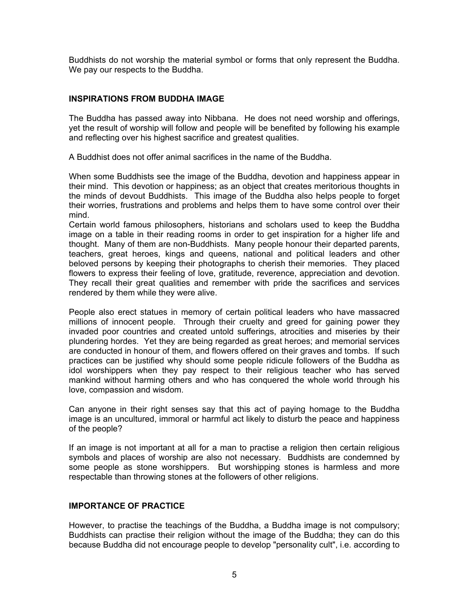Buddhists do not worship the material symbol or forms that only represent the Buddha. We pay our respects to the Buddha.

### **INSPIRATIONS FROM BUDDHA IMAGE**

The Buddha has passed away into Nibbana. He does not need worship and offerings, yet the result of worship will follow and people will be benefited by following his example and reflecting over his highest sacrifice and greatest qualities.

A Buddhist does not offer animal sacrifices in the name of the Buddha.

When some Buddhists see the image of the Buddha, devotion and happiness appear in their mind. This devotion or happiness; as an object that creates meritorious thoughts in the minds of devout Buddhists. This image of the Buddha also helps people to forget their worries, frustrations and problems and helps them to have some control over their mind.

Certain world famous philosophers, historians and scholars used to keep the Buddha image on a table in their reading rooms in order to get inspiration for a higher life and thought. Many of them are non-Buddhists. Many people honour their departed parents, teachers, great heroes, kings and queens, national and political leaders and other beloved persons by keeping their photographs to cherish their memories. They placed flowers to express their feeling of love, gratitude, reverence, appreciation and devotion. They recall their great qualities and remember with pride the sacrifices and services rendered by them while they were alive.

People also erect statues in memory of certain political leaders who have massacred millions of innocent people. Through their cruelty and greed for gaining power they invaded poor countries and created untold sufferings, atrocities and miseries by their plundering hordes. Yet they are being regarded as great heroes; and memorial services are conducted in honour of them, and flowers offered on their graves and tombs. If such practices can be justified why should some people ridicule followers of the Buddha as idol worshippers when they pay respect to their religious teacher who has served mankind without harming others and who has conquered the whole world through his love, compassion and wisdom.

Can anyone in their right senses say that this act of paying homage to the Buddha image is an uncultured, immoral or harmful act likely to disturb the peace and happiness of the people?

If an image is not important at all for a man to practise a religion then certain religious symbols and places of worship are also not necessary. Buddhists are condemned by some people as stone worshippers. But worshipping stones is harmless and more respectable than throwing stones at the followers of other religions.

# **IMPORTANCE OF PRACTICE**

However, to practise the teachings of the Buddha, a Buddha image is not compulsory; Buddhists can practise their religion without the image of the Buddha; they can do this because Buddha did not encourage people to develop "personality cult", i.e. according to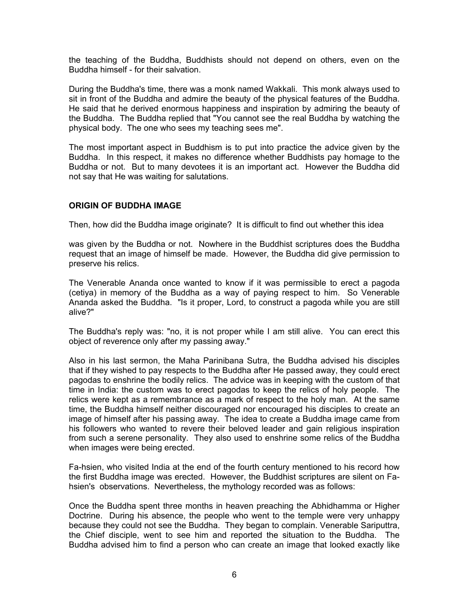the teaching of the Buddha, Buddhists should not depend on others, even on the Buddha himself - for their salvation.

During the Buddha's time, there was a monk named Wakkali. This monk always used to sit in front of the Buddha and admire the beauty of the physical features of the Buddha. He said that he derived enormous happiness and inspiration by admiring the beauty of the Buddha. The Buddha replied that "You cannot see the real Buddha by watching the physical body. The one who sees my teaching sees me".

The most important aspect in Buddhism is to put into practice the advice given by the Buddha. In this respect, it makes no difference whether Buddhists pay homage to the Buddha or not. But to many devotees it is an important act. However the Buddha did not say that He was waiting for salutations.

# **ORIGIN OF BUDDHA IMAGE**

Then, how did the Buddha image originate? It is difficult to find out whether this idea

was given by the Buddha or not. Nowhere in the Buddhist scriptures does the Buddha request that an image of himself be made. However, the Buddha did give permission to preserve his relics.

The Venerable Ananda once wanted to know if it was permissible to erect a pagoda (cetiya) in memory of the Buddha as a way of paying respect to him. So Venerable Ananda asked the Buddha. "Is it proper, Lord, to construct a pagoda while you are still alive?"

The Buddha's reply was: "no, it is not proper while I am still alive. You can erect this object of reverence only after my passing away."

Also in his last sermon, the Maha Parinibana Sutra, the Buddha advised his disciples that if they wished to pay respects to the Buddha after He passed away, they could erect pagodas to enshrine the bodily relics. The advice was in keeping with the custom of that time in India: the custom was to erect pagodas to keep the relics of holy people. The relics were kept as a remembrance as a mark of respect to the holy man. At the same time, the Buddha himself neither discouraged nor encouraged his disciples to create an image of himself after his passing away. The idea to create a Buddha image came from his followers who wanted to revere their beloved leader and gain religious inspiration from such a serene personality. They also used to enshrine some relics of the Buddha when images were being erected.

Fa-hsien, who visited India at the end of the fourth century mentioned to his record how the first Buddha image was erected. However, the Buddhist scriptures are silent on Fahsien's observations. Nevertheless, the mythology recorded was as follows:

Once the Buddha spent three months in heaven preaching the Abhidhamma or Higher Doctrine. During his absence, the people who went to the temple were very unhappy because they could not see the Buddha. They began to complain. Venerable Sariputtra, the Chief disciple, went to see him and reported the situation to the Buddha. The Buddha advised him to find a person who can create an image that looked exactly like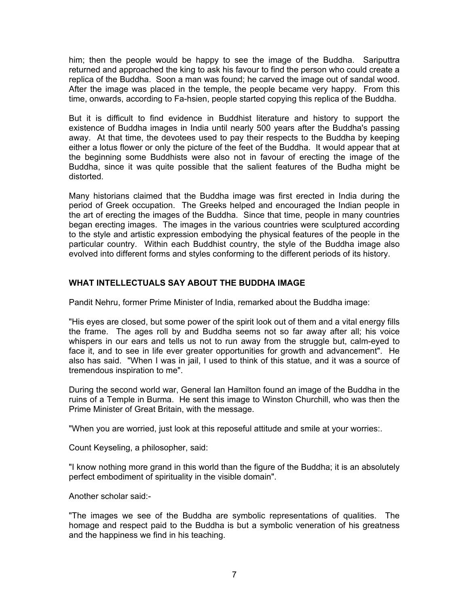him; then the people would be happy to see the image of the Buddha. Sariputtra returned and approached the king to ask his favour to find the person who could create a replica of the Buddha. Soon a man was found; he carved the image out of sandal wood. After the image was placed in the temple, the people became very happy. From this time, onwards, according to Fa-hsien, people started copying this replica of the Buddha.

But it is difficult to find evidence in Buddhist literature and history to support the existence of Buddha images in India until nearly 500 years after the Buddha's passing away. At that time, the devotees used to pay their respects to the Buddha by keeping either a lotus flower or only the picture of the feet of the Buddha. It would appear that at the beginning some Buddhists were also not in favour of erecting the image of the Buddha, since it was quite possible that the salient features of the Budha might be distorted.

Many historians claimed that the Buddha image was first erected in India during the period of Greek occupation. The Greeks helped and encouraged the Indian people in the art of erecting the images of the Buddha. Since that time, people in many countries began erecting images. The images in the various countries were sculptured according to the style and artistic expression embodying the physical features of the people in the particular country. Within each Buddhist country, the style of the Buddha image also evolved into different forms and styles conforming to the different periods of its history.

# **WHAT INTELLECTUALS SAY ABOUT THE BUDDHA IMAGE**

Pandit Nehru, former Prime Minister of India, remarked about the Buddha image:

"His eyes are closed, but some power of the spirit look out of them and a vital energy fills the frame. The ages roll by and Buddha seems not so far away after all; his voice whispers in our ears and tells us not to run away from the struggle but, calm-eyed to face it, and to see in life ever greater opportunities for growth and advancement". He also has said. "When I was in jail, I used to think of this statue, and it was a source of tremendous inspiration to me".

During the second world war, General Ian Hamilton found an image of the Buddha in the ruins of a Temple in Burma. He sent this image to Winston Churchill, who was then the Prime Minister of Great Britain, with the message.

"When you are worried, just look at this reposeful attitude and smile at your worries:.

Count Keyseling, a philosopher, said:

"I know nothing more grand in this world than the figure of the Buddha; it is an absolutely perfect embodiment of spirituality in the visible domain".

Another scholar said:-

"The images we see of the Buddha are symbolic representations of qualities. The homage and respect paid to the Buddha is but a symbolic veneration of his greatness and the happiness we find in his teaching.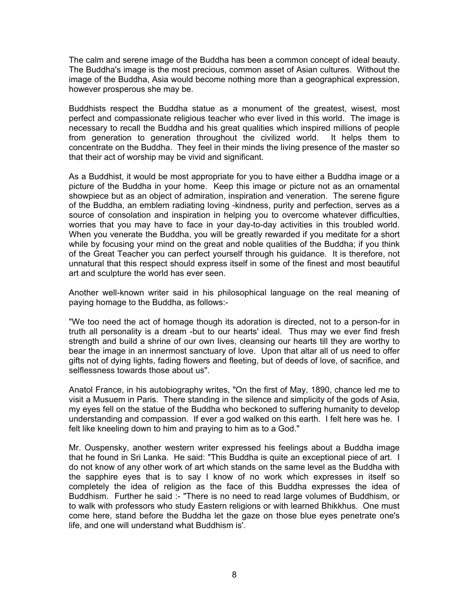The calm and serene image of the Buddha has been a common concept of ideal beauty. The Buddha's image is the most precious, common asset of Asian cultures. Without the image of the Buddha, Asia would become nothing more than a geographical expression, however prosperous she may be.

Buddhists respect the Buddha statue as a monument of the greatest, wisest, most perfect and compassionate religious teacher who ever lived in this world. The image is necessary to recall the Buddha and his great qualities which inspired millions of people from generation to generation throughout the civilized world. It helps them to concentrate on the Buddha. They feel in their minds the living presence of the master so that their act of worship may be vivid and significant.

As a Buddhist, it would be most appropriate for you to have either a Buddha image or a picture of the Buddha in your home. Keep this image or picture not as an ornamental showpiece but as an object of admiration, inspiration and veneration. The serene figure of the Buddha, an emblem radiating loving -kindness, purity and perfection, serves as a source of consolation and inspiration in helping you to overcome whatever difficulties, worries that you may have to face in your day-to-day activities in this troubled world. When you venerate the Buddha, you will be greatly rewarded if you meditate for a short while by focusing your mind on the great and noble qualities of the Buddha; if you think of the Great Teacher you can perfect yourself through his guidance. It is therefore, not unnatural that this respect should express itself in some of the finest and most beautiful art and sculpture the world has ever seen.

Another well-known writer said in his philosophical language on the real meaning of paying homage to the Buddha, as follows:-

"We too need the act of homage though its adoration is directed, not to a person-for in truth all personality is a dream -but to our hearts' ideal. Thus may we ever find fresh strength and build a shrine of our own lives, cleansing our hearts till they are worthy to bear the image in an innermost sanctuary of love. Upon that altar all of us need to offer gifts not of dying lights, fading flowers and fleeting, but of deeds of love, of sacrifice, and selflessness towards those about us".

Anatol France, in his autobiography writes, "On the first of May, 1890, chance led me to visit a Musuem in Paris. There standing in the silence and simplicity of the gods of Asia, my eyes fell on the statue of the Buddha who beckoned to suffering humanity to develop understanding and compassion. If ever a god walked on this earth. I felt here was he. I felt like kneeling down to him and praying to him as to a God."

Mr. Ouspensky, another western writer expressed his feelings about a Buddha image that he found in Sri Lanka. He said: "This Buddha is quite an exceptional piece of art. I do not know of any other work of art which stands on the same level as the Buddha with the sapphire eyes that is to say I know of no work which expresses in itself so completely the idea of religion as the face of this Buddha expresses the idea of Buddhism. Further he said :- "There is no need to read large volumes of Buddhism, or to walk with professors who study Eastern religions or with learned Bhikkhus. One must come here, stand before the Buddha let the gaze on those blue eyes penetrate one's life, and one will understand what Buddhism is'.